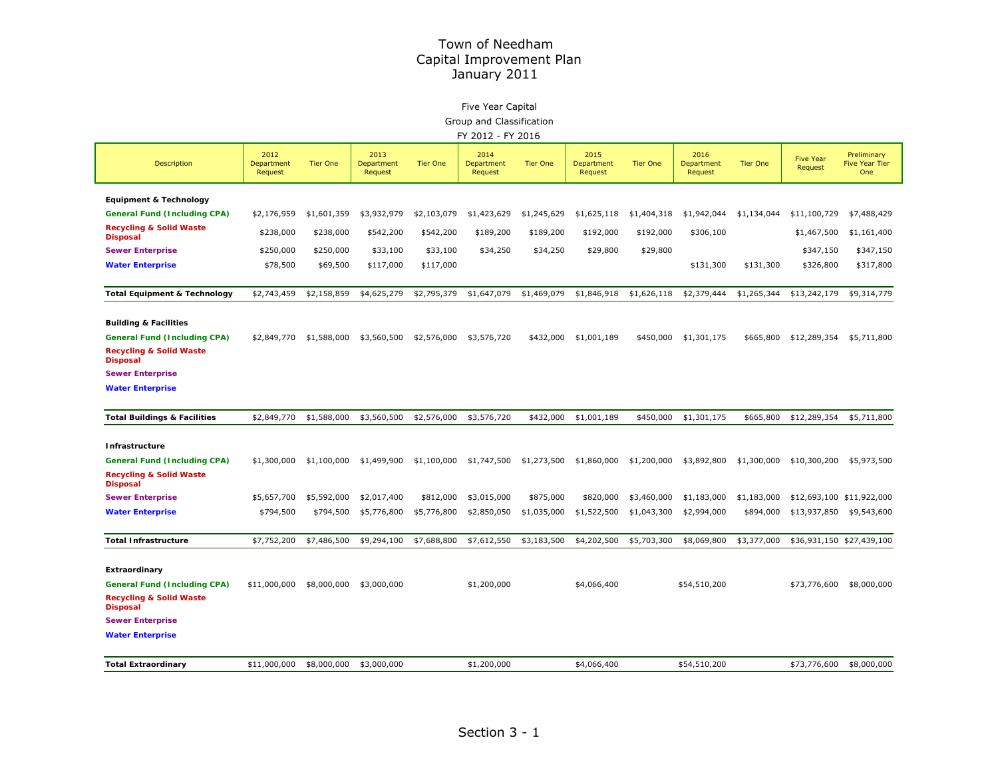# Five Year Capital

Group and Classification

|  | FY 2012 - FY 2016 |  |
|--|-------------------|--|
|  |                   |  |

|                                                                                              | FI ZUIZ<br>- FIZUIU           |                 |                               |                 |                               |                 |                               |                 |                               |                 |                             |                                             |  |
|----------------------------------------------------------------------------------------------|-------------------------------|-----------------|-------------------------------|-----------------|-------------------------------|-----------------|-------------------------------|-----------------|-------------------------------|-----------------|-----------------------------|---------------------------------------------|--|
| <b>Description</b>                                                                           | 2012<br>Department<br>Request | <b>Tier One</b> | 2013<br>Department<br>Request | <b>Tier One</b> | 2014<br>Department<br>Request | <b>Tier One</b> | 2015<br>Department<br>Request | <b>Tier One</b> | 2016<br>Department<br>Request | <b>Tier One</b> | <b>Five Year</b><br>Request | Preliminary<br><b>Five Year Tier</b><br>One |  |
| <b>Equipment &amp; Technology</b>                                                            |                               |                 |                               |                 |                               |                 |                               |                 |                               |                 |                             |                                             |  |
| <b>General Fund (Including CPA)</b>                                                          | \$2,176,959                   | \$1,601,359     | \$3,932,979                   | \$2,103,079     | \$1,423,629                   | \$1,245,629     | \$1,625,118                   | \$1,404,318     | \$1,942,044                   | \$1,134,044     | \$11,100,729                | \$7,488,429                                 |  |
| <b>Recycling &amp; Solid Waste</b><br><b>Disposal</b>                                        | \$238,000                     | \$238,000       | \$542,200                     | \$542,200       | \$189,200                     | \$189,200       | \$192,000                     | \$192,000       | \$306,100                     |                 | \$1,467,500                 | \$1,161,400                                 |  |
| <b>Sewer Enterprise</b>                                                                      | \$250,000                     | \$250,000       | \$33,100                      | \$33,100        | \$34,250                      | \$34,250        | \$29,800                      | \$29,800        |                               |                 | \$347,150                   | \$347,150                                   |  |
| <b>Water Enterprise</b>                                                                      | \$78,500                      | \$69,500        | \$117,000                     | \$117,000       |                               |                 |                               |                 | \$131,300                     | \$131,300       | \$326,800                   | \$317,800                                   |  |
| <b>Total Equipment &amp; Technology</b>                                                      | \$2,743,459                   | \$2,158,859     | \$4,625,279                   | \$2,795,379     | \$1,647,079                   | \$1,469,079     | \$1,846,918                   | \$1,626,118     | \$2,379,444                   | \$1,265,344     | \$13,242,179                | \$9,314,779                                 |  |
| <b>Building &amp; Facilities</b>                                                             |                               |                 |                               |                 |                               |                 |                               |                 |                               |                 |                             |                                             |  |
| <b>General Fund (Including CPA)</b><br><b>Recycling &amp; Solid Waste</b><br><b>Disposal</b> | \$2,849,770                   | \$1,588,000     | \$3,560,500                   | \$2,576,000     | \$3,576,720                   | \$432,000       | \$1,001,189                   | \$450,000       | \$1,301,175                   | \$665,800       | \$12,289,354                | \$5,711,800                                 |  |
| <b>Sewer Enterprise</b>                                                                      |                               |                 |                               |                 |                               |                 |                               |                 |                               |                 |                             |                                             |  |
| <b>Water Enterprise</b>                                                                      |                               |                 |                               |                 |                               |                 |                               |                 |                               |                 |                             |                                             |  |
| <b>Total Buildings &amp; Facilities</b>                                                      | \$2,849,770                   | \$1,588,000     | \$3,560,500                   | \$2,576,000     | \$3,576,720                   | \$432,000       | \$1,001,189                   | \$450,000       | \$1,301,175                   | \$665,800       | \$12,289,354                | \$5,711,800                                 |  |
| Infrastructure                                                                               |                               |                 |                               |                 |                               |                 |                               |                 |                               |                 |                             |                                             |  |
| <b>General Fund (Including CPA)</b>                                                          | \$1,300,000                   | \$1,100,000     | \$1,499,900                   | \$1,100,000     | \$1,747,500                   | \$1,273,500     | \$1,860,000                   | \$1,200,000     | \$3,892,800                   | \$1,300,000     | \$10,300,200                | \$5,973,500                                 |  |
| <b>Recycling &amp; Solid Waste</b><br><b>Disposal</b>                                        |                               |                 |                               |                 |                               |                 |                               |                 |                               |                 |                             |                                             |  |
| <b>Sewer Enterprise</b>                                                                      | \$5,657,700                   | \$5,592,000     | \$2,017,400                   | \$812,000       | \$3,015,000                   | \$875,000       | \$820,000                     | \$3,460,000     | \$1,183,000                   | \$1,183,000     |                             | \$12,693,100 \$11,922,000                   |  |
| <b>Water Enterprise</b>                                                                      | \$794,500                     | \$794,500       | \$5,776,800                   | \$5,776,800     | \$2,850,050                   | \$1,035,000     | \$1,522,500                   | \$1,043,300     | \$2,994,000                   | \$894,000       | \$13,937,850                | \$9,543,600                                 |  |
| <b>Total Infrastructure</b>                                                                  | \$7,752,200                   | \$7,486,500     | \$9,294,100                   | \$7,688,800     | \$7,612,550                   | \$3,183,500     | \$4,202,500                   | \$5,703,300     | \$8,069,800                   | \$3,377,000     |                             | \$36,931,150 \$27,439,100                   |  |
| Extraordinary                                                                                |                               |                 |                               |                 |                               |                 |                               |                 |                               |                 |                             |                                             |  |
| <b>General Fund (Including CPA)</b>                                                          | \$11,000,000                  | \$8,000,000     | \$3,000,000                   |                 | \$1,200,000                   |                 | \$4,066,400                   |                 | \$54,510,200                  |                 | \$73,776,600                | \$8,000,000                                 |  |
| <b>Recycling &amp; Solid Waste</b><br><b>Disposal</b>                                        |                               |                 |                               |                 |                               |                 |                               |                 |                               |                 |                             |                                             |  |
| <b>Sewer Enterprise</b>                                                                      |                               |                 |                               |                 |                               |                 |                               |                 |                               |                 |                             |                                             |  |
| <b>Water Enterprise</b>                                                                      |                               |                 |                               |                 |                               |                 |                               |                 |                               |                 |                             |                                             |  |
| <b>Total Extraordinary</b>                                                                   | \$11,000,000                  | \$8,000,000     | \$3,000,000                   |                 | \$1,200,000                   |                 | \$4,066,400                   |                 | \$54,510,200                  |                 | \$73,776,600                | \$8,000,000                                 |  |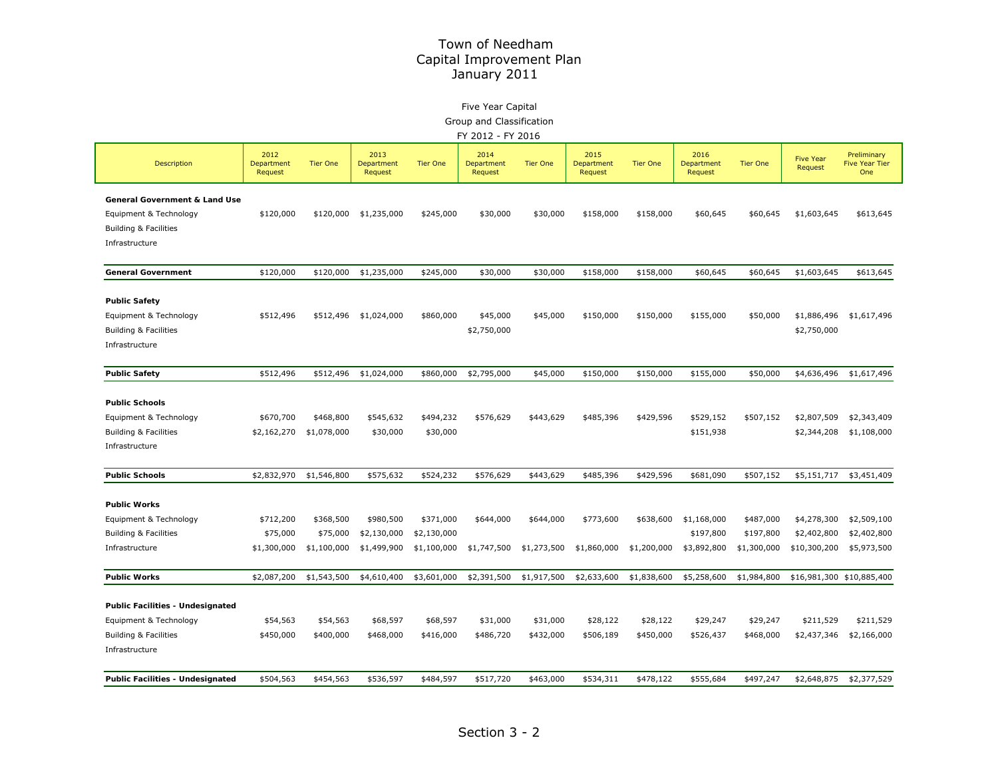# Five Year Capital

Group and Classification

| FY 2012 - FY 2016 |  |
|-------------------|--|
|-------------------|--|

| Description                                    | 2012<br>Department<br>Request | <b>Tier One</b> | 2013<br>Department<br>Request | <b>Tier One</b> | 2014<br>Department<br>Request | <b>Tier One</b> | 2015<br>Department<br>Request | <b>Tier One</b> | 2016<br>Department<br>Request | <b>Tier One</b> | <b>Five Year</b><br>Request | Preliminary<br><b>Five Year Tier</b><br>One |
|------------------------------------------------|-------------------------------|-----------------|-------------------------------|-----------------|-------------------------------|-----------------|-------------------------------|-----------------|-------------------------------|-----------------|-----------------------------|---------------------------------------------|
| General Government & Land Use                  |                               |                 |                               |                 |                               |                 |                               |                 |                               |                 |                             |                                             |
| Equipment & Technology                         | \$120,000                     | \$120,000       | \$1,235,000                   | \$245,000       | \$30,000                      | \$30,000        | \$158,000                     | \$158,000       | \$60,645                      | \$60,645        | \$1,603,645                 | \$613,645                                   |
| Building & Facilities                          |                               |                 |                               |                 |                               |                 |                               |                 |                               |                 |                             |                                             |
| Infrastructure                                 |                               |                 |                               |                 |                               |                 |                               |                 |                               |                 |                             |                                             |
|                                                |                               |                 |                               |                 |                               |                 |                               |                 |                               |                 |                             |                                             |
| <b>General Government</b>                      | \$120,000                     | \$120,000       | \$1,235,000                   | \$245,000       | \$30,000                      | \$30,000        | \$158,000                     | \$158,000       | \$60,645                      | \$60,645        | \$1,603,645                 | \$613,645                                   |
|                                                |                               |                 |                               |                 |                               |                 |                               |                 |                               |                 |                             |                                             |
| <b>Public Safety</b><br>Equipment & Technology | \$512,496                     | \$512,496       | \$1,024,000                   | \$860,000       | \$45,000                      | \$45,000        | \$150,000                     | \$150,000       | \$155,000                     | \$50,000        | \$1,886,496                 | \$1,617,496                                 |
| <b>Building &amp; Facilities</b>               |                               |                 |                               |                 | \$2,750,000                   |                 |                               |                 |                               |                 | \$2,750,000                 |                                             |
| Infrastructure                                 |                               |                 |                               |                 |                               |                 |                               |                 |                               |                 |                             |                                             |
|                                                |                               |                 |                               |                 |                               |                 |                               |                 |                               |                 |                             |                                             |
| <b>Public Safety</b>                           | \$512,496                     | \$512,496       | \$1,024,000                   | \$860,000       | \$2,795,000                   | \$45,000        | \$150,000                     | \$150,000       | \$155,000                     | \$50,000        | \$4,636,496                 | \$1,617,496                                 |
| <b>Public Schools</b>                          |                               |                 |                               |                 |                               |                 |                               |                 |                               |                 |                             |                                             |
| Equipment & Technology                         | \$670,700                     | \$468,800       | \$545,632                     | \$494,232       | \$576,629                     | \$443,629       | \$485,396                     | \$429,596       | \$529,152                     | \$507,152       | \$2,807,509                 | \$2,343,409                                 |
| <b>Building &amp; Facilities</b>               | \$2,162,270                   | \$1,078,000     | \$30,000                      | \$30,000        |                               |                 |                               |                 | \$151,938                     |                 | \$2,344,208                 | \$1,108,000                                 |
| Infrastructure                                 |                               |                 |                               |                 |                               |                 |                               |                 |                               |                 |                             |                                             |
|                                                |                               |                 |                               |                 |                               |                 |                               |                 |                               |                 |                             |                                             |
| <b>Public Schools</b>                          | \$2,832,970                   | \$1,546,800     | \$575,632                     | \$524,232       | \$576,629                     | \$443,629       | \$485,396                     | \$429,596       | \$681,090                     | \$507,152       | \$5,151,717                 | \$3,451,409                                 |
| <b>Public Works</b>                            |                               |                 |                               |                 |                               |                 |                               |                 |                               |                 |                             |                                             |
| Equipment & Technology                         | \$712,200                     | \$368,500       | \$980,500                     | \$371,000       | \$644,000                     | \$644,000       | \$773,600                     | \$638,600       | \$1,168,000                   | \$487,000       | \$4,278,300                 | \$2,509,100                                 |
| Building & Facilities                          | \$75,000                      | \$75,000        | \$2,130,000                   | \$2,130,000     |                               |                 |                               |                 | \$197,800                     | \$197,800       | \$2,402,800                 | \$2,402,800                                 |
| Infrastructure                                 | \$1,300,000                   | \$1,100,000     | \$1,499,900                   | \$1,100,000     | \$1,747,500                   | \$1,273,500     | \$1,860,000                   | \$1,200,000     | \$3,892,800                   | \$1,300,000     | \$10,300,200                | \$5,973,500                                 |
|                                                |                               |                 |                               |                 |                               |                 |                               |                 |                               |                 |                             |                                             |
| <b>Public Works</b>                            | \$2,087,200                   | \$1,543,500     | \$4,610,400                   | \$3,601,000     | \$2,391,500                   | \$1,917,500     | \$2,633,600                   | \$1,838,600     | \$5,258,600                   | \$1,984,800     |                             | \$16,981,300 \$10,885,400                   |
| <b>Public Facilities - Undesignated</b>        |                               |                 |                               |                 |                               |                 |                               |                 |                               |                 |                             |                                             |
| Equipment & Technology                         | \$54,563                      | \$54,563        | \$68,597                      | \$68,597        | \$31,000                      | \$31,000        | \$28,122                      | \$28,122        | \$29,247                      | \$29,247        | \$211,529                   | \$211,529                                   |
| Building & Facilities                          | \$450,000                     | \$400,000       | \$468,000                     | \$416,000       | \$486,720                     | \$432,000       | \$506,189                     | \$450,000       | \$526,437                     | \$468,000       | \$2,437,346                 | \$2,166,000                                 |
| Infrastructure                                 |                               |                 |                               |                 |                               |                 |                               |                 |                               |                 |                             |                                             |
|                                                |                               |                 |                               |                 |                               |                 |                               |                 |                               |                 |                             |                                             |
| <b>Public Facilities - Undesignated</b>        | \$504,563                     | \$454,563       | \$536,597                     | \$484,597       | \$517,720                     | \$463,000       | \$534,311                     | \$478,122       | \$555,684                     | \$497,247       | \$2,648,875                 | \$2,377,529                                 |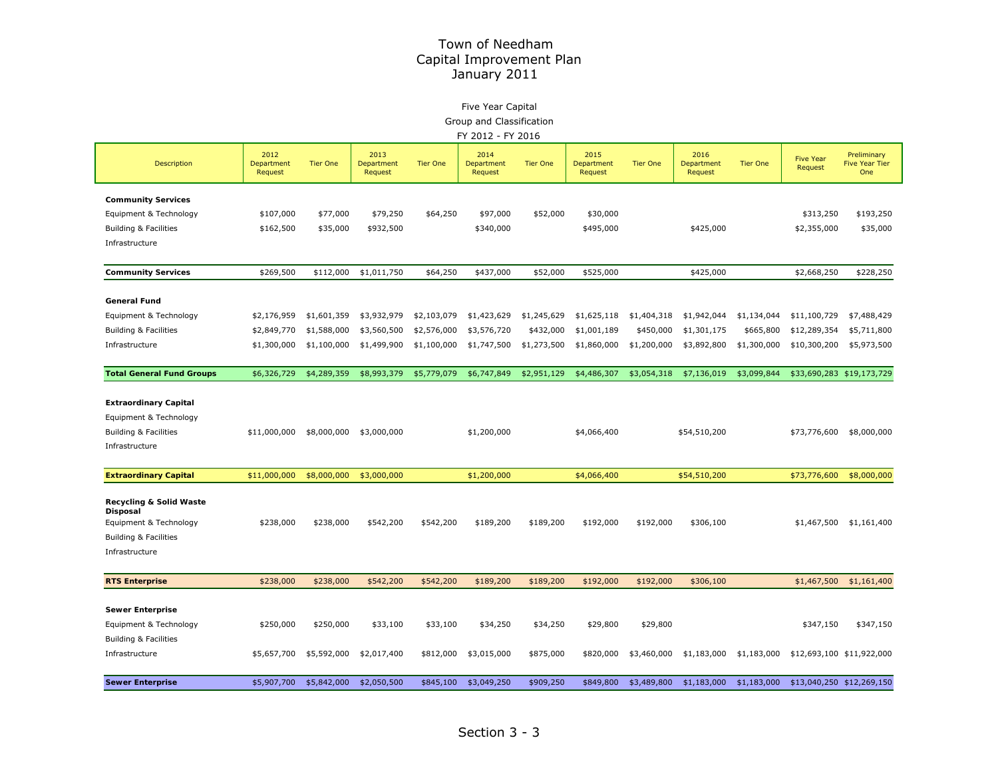# Five Year Capital

Group and Classification

| FY 2012 - FY 2016 |  |  |
|-------------------|--|--|
|                   |  |  |

|                                     | 2012                  |                 | 2013                  |                 | 2014                  |                 | 2015                  |                 | 2016                  |                 | <b>Five Year</b> | Preliminary                  |
|-------------------------------------|-----------------------|-----------------|-----------------------|-----------------|-----------------------|-----------------|-----------------------|-----------------|-----------------------|-----------------|------------------|------------------------------|
| Description                         | Department<br>Request | <b>Tier One</b> | Department<br>Request | <b>Tier One</b> | Department<br>Request | <b>Tier One</b> | Department<br>Request | <b>Tier One</b> | Department<br>Request | <b>Tier One</b> | Request          | <b>Five Year Tier</b><br>One |
| <b>Community Services</b>           |                       |                 |                       |                 |                       |                 |                       |                 |                       |                 |                  |                              |
| Equipment & Technology              | \$107,000             | \$77,000        | \$79,250              | \$64,250        | \$97,000              | \$52,000        | \$30,000              |                 |                       |                 | \$313,250        | \$193,250                    |
| Building & Facilities               | \$162,500             | \$35,000        | \$932,500             |                 | \$340,000             |                 | \$495,000             |                 | \$425,000             |                 | \$2,355,000      | \$35,000                     |
| Infrastructure                      |                       |                 |                       |                 |                       |                 |                       |                 |                       |                 |                  |                              |
| <b>Community Services</b>           | \$269,500             | \$112,000       | \$1,011,750           | \$64,250        | \$437,000             | \$52,000        | \$525,000             |                 | \$425,000             |                 | \$2,668,250      | \$228,250                    |
| <b>General Fund</b>                 |                       |                 |                       |                 |                       |                 |                       |                 |                       |                 |                  |                              |
| Equipment & Technology              | \$2,176,959           | \$1,601,359     | \$3,932,979           | \$2,103,079     | \$1,423,629           | \$1,245,629     | \$1,625,118           | \$1,404,318     | \$1,942,044           | \$1,134,044     | \$11,100,729     | \$7,488,429                  |
| Building & Facilities               | \$2,849,770           | \$1,588,000     | \$3,560,500           | \$2,576,000     | \$3,576,720           | \$432,000       | \$1,001,189           | \$450,000       | \$1,301,175           | \$665,800       | \$12,289,354     | \$5,711,800                  |
| Infrastructure                      | \$1,300,000           | \$1,100,000     | \$1,499,900           | \$1,100,000     | \$1,747,500           | \$1,273,500     | \$1,860,000           | \$1,200,000     | \$3,892,800           | \$1,300,000     | \$10,300,200     | \$5,973,500                  |
| <b>Total General Fund Groups</b>    | \$6,326,729           | \$4,289,359     | \$8,993,379           | \$5,779,079     | \$6,747,849           | \$2,951,129     | \$4,486,307           | \$3,054,318     | \$7,136,019           | \$3,099,844     |                  | \$33,690,283 \$19,173,729    |
| <b>Extraordinary Capital</b>        |                       |                 |                       |                 |                       |                 |                       |                 |                       |                 |                  |                              |
| Equipment & Technology              |                       |                 |                       |                 |                       |                 |                       |                 |                       |                 |                  |                              |
| <b>Building &amp; Facilities</b>    | \$11,000,000          | \$8,000,000     | \$3,000,000           |                 | \$1,200,000           |                 | \$4,066,400           |                 | \$54,510,200          |                 | \$73,776,600     | \$8,000,000                  |
| Infrastructure                      |                       |                 |                       |                 |                       |                 |                       |                 |                       |                 |                  |                              |
|                                     |                       |                 |                       |                 |                       |                 |                       |                 |                       |                 |                  |                              |
| <b>Extraordinary Capital</b>        | \$11,000,000          | \$8,000,000     | \$3,000,000           |                 | \$1,200,000           |                 | \$4,066,400           |                 | \$54,510,200          |                 | \$73,776,600     | \$8,000,000                  |
| Recycling & Solid Waste<br>Disposal |                       |                 |                       |                 |                       |                 |                       |                 |                       |                 |                  |                              |
| Equipment & Technology              | \$238,000             | \$238,000       | \$542,200             | \$542,200       | \$189,200             | \$189,200       | \$192,000             | \$192,000       | \$306,100             |                 | \$1,467,500      | \$1,161,400                  |
| Building & Facilities               |                       |                 |                       |                 |                       |                 |                       |                 |                       |                 |                  |                              |
| Infrastructure                      |                       |                 |                       |                 |                       |                 |                       |                 |                       |                 |                  |                              |
| <b>RTS Enterprise</b>               | \$238,000             | \$238,000       | \$542,200             | \$542,200       | \$189,200             | \$189,200       | \$192,000             | \$192,000       | \$306,100             |                 | \$1,467,500      | \$1,161,400                  |
| <b>Sewer Enterprise</b>             |                       |                 |                       |                 |                       |                 |                       |                 |                       |                 |                  |                              |
| Equipment & Technology              | \$250,000             | \$250,000       | \$33,100              | \$33,100        | \$34,250              | \$34,250        | \$29,800              | \$29,800        |                       |                 | \$347,150        | \$347,150                    |
| Building & Facilities               |                       |                 |                       |                 |                       |                 |                       |                 |                       |                 |                  |                              |
| Infrastructure                      | \$5,657,700           | \$5,592,000     | \$2,017,400           | \$812,000       | \$3,015,000           | \$875,000       | \$820,000             | \$3,460,000     | \$1,183,000           | \$1,183,000     |                  | \$12,693,100 \$11,922,000    |
| <b>Sewer Enterprise</b>             | \$5,907,700           | \$5,842,000     | \$2,050,500           | \$845,100       | \$3,049,250           | \$909,250       | \$849,800             | \$3,489,800     | \$1,183,000           | \$1,183,000     |                  | \$13,040,250 \$12,269,150    |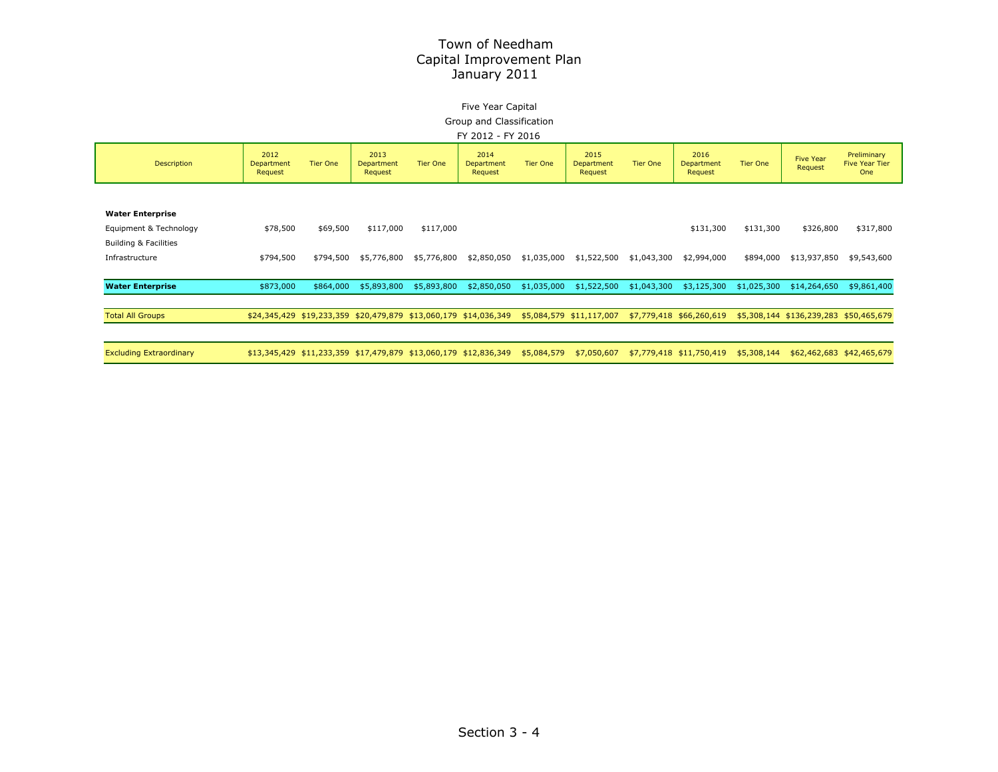#### Five Year Capital Group and Classification

FY 2012 - FY 2016

|                                |                               |                 |                                                                  |                 | FI ZUIZ "FI ZUIU              |                 |                                      |                 |                               |                 |                                        |                                             |  |  |  |  |  |  |
|--------------------------------|-------------------------------|-----------------|------------------------------------------------------------------|-----------------|-------------------------------|-----------------|--------------------------------------|-----------------|-------------------------------|-----------------|----------------------------------------|---------------------------------------------|--|--|--|--|--|--|
| <b>Description</b>             | 2012<br>Department<br>Request | <b>Tier One</b> | 2013<br>Department<br>Request                                    | <b>Tier One</b> | 2014<br>Department<br>Request | <b>Tier One</b> | 2015<br><b>Department</b><br>Request | <b>Tier One</b> | 2016<br>Department<br>Request | <b>Tier One</b> | <b>Five Year</b><br>Request            | Preliminary<br><b>Five Year Tier</b><br>One |  |  |  |  |  |  |
|                                |                               |                 |                                                                  |                 |                               |                 |                                      |                 |                               |                 |                                        |                                             |  |  |  |  |  |  |
| <b>Water Enterprise</b>        |                               |                 |                                                                  |                 |                               |                 |                                      |                 |                               |                 |                                        |                                             |  |  |  |  |  |  |
| Equipment & Technology         | \$78,500                      | \$69,500        | \$117,000                                                        | \$117,000       |                               |                 |                                      |                 | \$131,300                     | \$131,300       | \$326,800                              | \$317,800                                   |  |  |  |  |  |  |
| Building & Facilities          |                               |                 |                                                                  |                 |                               |                 |                                      |                 |                               |                 |                                        |                                             |  |  |  |  |  |  |
| Infrastructure                 | \$794,500                     | \$794,500       | \$5,776,800                                                      | \$5,776,800     | \$2,850,050                   | \$1,035,000     | \$1,522,500                          | \$1,043,300     | \$2,994,000                   | \$894,000       | \$13,937,850                           | \$9,543,600                                 |  |  |  |  |  |  |
|                                |                               |                 |                                                                  |                 |                               |                 |                                      |                 |                               |                 |                                        |                                             |  |  |  |  |  |  |
|                                |                               |                 |                                                                  |                 |                               |                 |                                      |                 |                               |                 |                                        |                                             |  |  |  |  |  |  |
| <b>Water Enterprise</b>        | \$873,000                     | \$864,000       | \$5,893,800                                                      | \$5,893,800     | \$2,850,050                   | \$1,035,000     | \$1,522,500                          | \$1,043,300     | \$3,125,300                   | \$1,025,300     | \$14,264,650                           | \$9,861,400                                 |  |  |  |  |  |  |
|                                |                               |                 |                                                                  |                 |                               |                 |                                      |                 |                               |                 |                                        |                                             |  |  |  |  |  |  |
| <b>Total All Groups</b>        |                               |                 | \$24,345,429 \$19,233,359 \$20,479,879 \$13,060,179 \$14,036,349 |                 |                               |                 | \$5,084,579 \$11,117,007             |                 | \$7,779,418 \$66,260,619      |                 | \$5,308,144 \$136,239,283 \$50,465,679 |                                             |  |  |  |  |  |  |
|                                |                               |                 |                                                                  |                 |                               |                 |                                      |                 |                               |                 |                                        |                                             |  |  |  |  |  |  |
| <b>Excluding Extraordinary</b> |                               |                 | \$13,345,429 \$11,233,359 \$17,479,879 \$13,060,179 \$12,836,349 |                 |                               | \$5,084,579     | \$7,050,607                          |                 | \$7,779,418 \$11,750,419      | \$5,308,144     |                                        | \$62,462,683 \$42,465,679                   |  |  |  |  |  |  |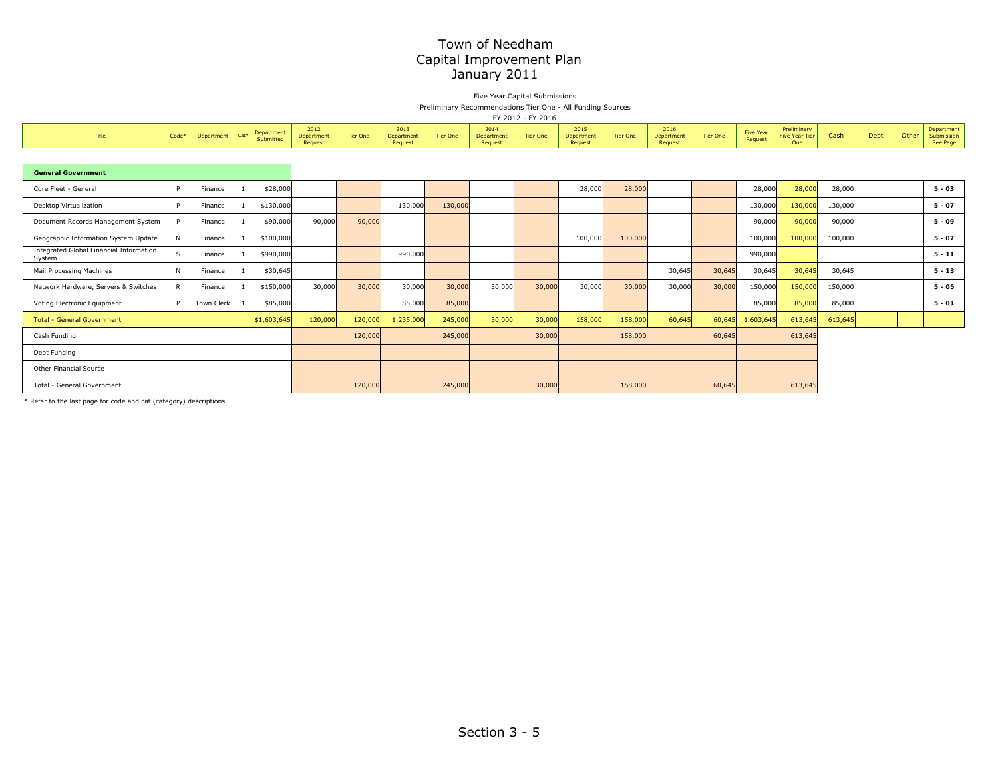#### Five Year Capital Submissions Preliminary Recommendations Tier One - All Funding Sources

|                                                   |       |            |        |                         |                               |                 |                               |                 |                               | FY 2012 - FY 2016 |                               |                 |                               |                 |                             |                                      |         |      |       |                                      |
|---------------------------------------------------|-------|------------|--------|-------------------------|-------------------------------|-----------------|-------------------------------|-----------------|-------------------------------|-------------------|-------------------------------|-----------------|-------------------------------|-----------------|-----------------------------|--------------------------------------|---------|------|-------|--------------------------------------|
| Title                                             | Code* | Department | $Cat*$ | Department<br>Submitted | 2012<br>Department<br>Request | <b>Tier One</b> | 2013<br>Department<br>Request | <b>Tier One</b> | 2014<br>Department<br>Request | <b>Tier One</b>   | 2015<br>Department<br>Request | <b>Tier One</b> | 2016<br>Department<br>Request | <b>Tier One</b> | <b>Five Year</b><br>Request | Preliminary<br>Five Year Tier<br>One | Cash    | Debt | Other | Department<br>Submission<br>See Page |
|                                                   |       |            |        |                         |                               |                 |                               |                 |                               |                   |                               |                 |                               |                 |                             |                                      |         |      |       |                                      |
| <b>General Government</b>                         |       |            |        |                         |                               |                 |                               |                 |                               |                   |                               |                 |                               |                 |                             |                                      |         |      |       |                                      |
| Core Fleet - General                              |       | Finance    |        | \$28,000                |                               |                 |                               |                 |                               |                   | 28,000                        | 28,000          |                               |                 | 28,000                      | 28,000                               | 28,000  |      |       | $5 - 03$                             |
| Desktop Virtualization                            |       | Finance    |        | \$130,000               |                               |                 | 130,000                       | 130,000         |                               |                   |                               |                 |                               |                 | 130,000                     | 130,000                              | 130,000 |      |       | $5 - 07$                             |
| Document Records Management System                |       | Finance    |        | \$90,000                | 90,000                        | 90,000          |                               |                 |                               |                   |                               |                 |                               |                 | 90,000                      | 90,000                               | 90,000  |      |       | $5 - 09$                             |
| Geographic Information System Update              | N     | Finance    |        | \$100,000               |                               |                 |                               |                 |                               |                   | 100,000                       | 100,000         |                               |                 | 100,000                     | 100,000                              | 100,000 |      |       | $5 - 07$                             |
| Integrated Global Financial Information<br>System | S     | Finance    |        | \$990,000               |                               |                 | 990,000                       |                 |                               |                   |                               |                 |                               |                 | 990,000                     |                                      |         |      |       | $5 - 11$                             |
| Mail Processing Machines                          | N     | Finance    |        | \$30,645                |                               |                 |                               |                 |                               |                   |                               |                 | 30,645                        | 30,645          | 30,645                      | 30,645                               | 30,645  |      |       | $5 - 13$                             |
| Network Hardware, Servers & Switches              | R     | Finance    |        | \$150,000               | 30,000                        | 30,000          | 30,000                        | 30,000          | 30,000                        | 30,000            | 30,000                        | 30,000          | 30,000                        | 30,000          | 150,000                     | 150,000                              | 150,000 |      |       | $5 - 05$                             |
| Voting Electronic Equipment                       |       | Town Clerk |        | \$85,000                |                               |                 | 85,000                        | 85,000          |                               |                   |                               |                 |                               |                 | 85,000                      | 85,000                               | 85,000  |      |       | $5 - 01$                             |

Total - General Government 1980 10000 10000 1,20000 1,235,000 1,235,000 10000 10000 158,000 158,000 158,000 158,000 158,000 158,000 158,000 158,000 158,000 158,000 158,000 158,000 158,000 158,000 158,000 158,000 158,000 15 Cash Funding 120,000 245,000 30,000 158,000 60,645 613,645 Debt Funding Other Financial Source Total - General Government120,000 245,000 30,000 158,000 60,645 613,645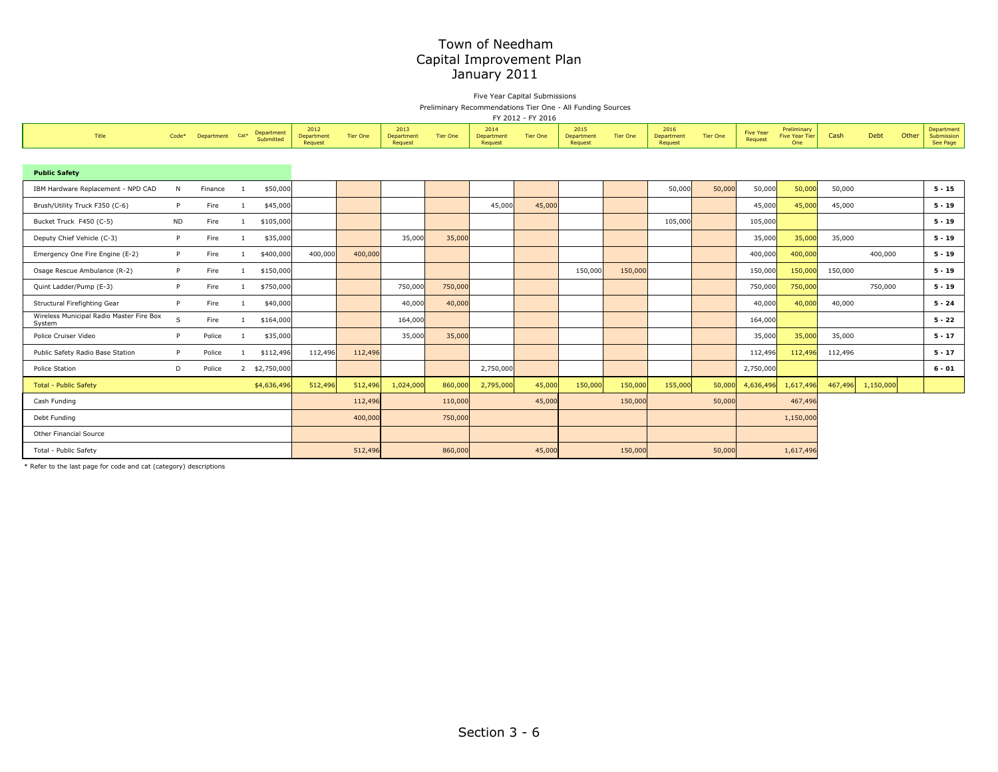Five Year Capital Submissions Preliminary Recommendations Tier One - All Funding Sources

FY 2012 - FY 2016

| Title                                              | Code*     | Department | Cat <sup>*</sup> | Department<br>Submitted | 2012<br>Department<br>Request | Tier One | 2013<br>Department<br>Request | <b>Tier One</b> | 2014<br>Department<br>Request | <b>Tier One</b> | 2015<br>Department<br>Request | <b>Tier One</b> | 2016<br>Department<br>Request | <b>Tier One</b> | <b>Five Year</b><br>Request | Preliminary<br><b>Five Year Tier</b><br>One | Cash    | Debt      | Other | Department<br>Submission<br>See Page |
|----------------------------------------------------|-----------|------------|------------------|-------------------------|-------------------------------|----------|-------------------------------|-----------------|-------------------------------|-----------------|-------------------------------|-----------------|-------------------------------|-----------------|-----------------------------|---------------------------------------------|---------|-----------|-------|--------------------------------------|
|                                                    |           |            |                  |                         |                               |          |                               |                 |                               |                 |                               |                 |                               |                 |                             |                                             |         |           |       |                                      |
| <b>Public Safety</b>                               |           |            |                  |                         |                               |          |                               |                 |                               |                 |                               |                 |                               |                 |                             |                                             |         |           |       |                                      |
| IBM Hardware Replacement - NPD CAD                 | N         | Finance    |                  | \$50,000                |                               |          |                               |                 |                               |                 |                               |                 | 50,000                        | 50,000          | 50,000                      | 50,000                                      | 50,000  |           |       | $5 - 15$                             |
| Brush/Utility Truck F350 (C-6)                     | P         | Fire       |                  | \$45,000                |                               |          |                               |                 | 45,000                        | 45,000          |                               |                 |                               |                 | 45,000                      | 45,000                                      | 45,000  |           |       | $5 - 19$                             |
| Bucket Truck F450 (C-5)                            | <b>ND</b> | Fire       |                  | \$105,000               |                               |          |                               |                 |                               |                 |                               |                 | 105,000                       |                 | 105,000                     |                                             |         |           |       | $5 - 19$                             |
| Deputy Chief Vehicle (C-3)                         | P         | Fire       |                  | \$35,000                |                               |          | 35,000                        | 35,000          |                               |                 |                               |                 |                               |                 | 35,000                      | 35,000                                      | 35,000  |           |       | $5 - 19$                             |
| Emergency One Fire Engine (E-2)                    | P.        | Fire       |                  | \$400,000               | 400,000                       | 400,000  |                               |                 |                               |                 |                               |                 |                               |                 | 400,000                     | 400,000                                     |         | 400,000   |       | $5 - 19$                             |
| Osage Rescue Ambulance (R-2)                       | P         | Fire       |                  | \$150,000               |                               |          |                               |                 |                               |                 | 150,000                       | 150,000         |                               |                 | 150,000                     | 150,000                                     | 150,000 |           |       | $5 - 19$                             |
| Quint Ladder/Pump (E-3)                            | P         | Fire       |                  | \$750,000               |                               |          | 750,000                       | 750,000         |                               |                 |                               |                 |                               |                 | 750,000                     | 750,000                                     |         | 750,000   |       | $5 - 19$                             |
| Structural Firefighting Gear                       | P.        | Fire       |                  | \$40,000                |                               |          | 40,000                        | 40,000          |                               |                 |                               |                 |                               |                 | 40,000                      | 40,000                                      | 40,000  |           |       | $5 - 24$                             |
| Wireless Municipal Radio Master Fire Box<br>System | S         | Fire       |                  | \$164,000               |                               |          | 164,000                       |                 |                               |                 |                               |                 |                               |                 | 164,000                     |                                             |         |           |       | $5 - 22$                             |
| Police Cruiser Video                               | P         | Police     |                  | \$35,000                |                               |          | 35,000                        | 35,000          |                               |                 |                               |                 |                               |                 | 35,000                      | 35,000                                      | 35,000  |           |       | $5 - 17$                             |
| Public Safety Radio Base Station                   | P         | Police     |                  | \$112,496               | 112,496                       | 112,496  |                               |                 |                               |                 |                               |                 |                               |                 | 112,496                     | 112,496                                     | 112,496 |           |       | $5 - 17$                             |
| Police Station                                     | D         | Police     |                  | 2 \$2,750,000           |                               |          |                               |                 | 2,750,000                     |                 |                               |                 |                               |                 | 2,750,000                   |                                             |         |           |       | $6 - 01$                             |
| <b>Total - Public Safety</b>                       |           |            |                  | \$4,636,496             | 512,496                       | 512,496  | 1,024,000                     | 860,000         | 2,795,000                     | 45,000          | 150,000                       | 150,000         | 155,000                       | 50,000          | 4,636,496                   | 1,617,496                                   | 467,496 | 1,150,000 |       |                                      |
| Cash Funding                                       |           |            |                  |                         |                               | 112,496  |                               | 110,000         |                               | 45,000          |                               | 150,000         |                               | 50,000          |                             | 467,496                                     |         |           |       |                                      |
| Debt Funding                                       |           |            |                  |                         |                               | 400,000  |                               | 750,000         |                               |                 |                               |                 |                               |                 |                             | 1,150,000                                   |         |           |       |                                      |
| Other Financial Source                             |           |            |                  |                         |                               |          |                               |                 |                               |                 |                               |                 |                               |                 |                             |                                             |         |           |       |                                      |
| Total - Public Safety                              |           |            |                  |                         |                               | 512,496  |                               | 860,000         |                               | 45,000          |                               | 150,000         |                               | 50,000          |                             | 1,617,496                                   |         |           |       |                                      |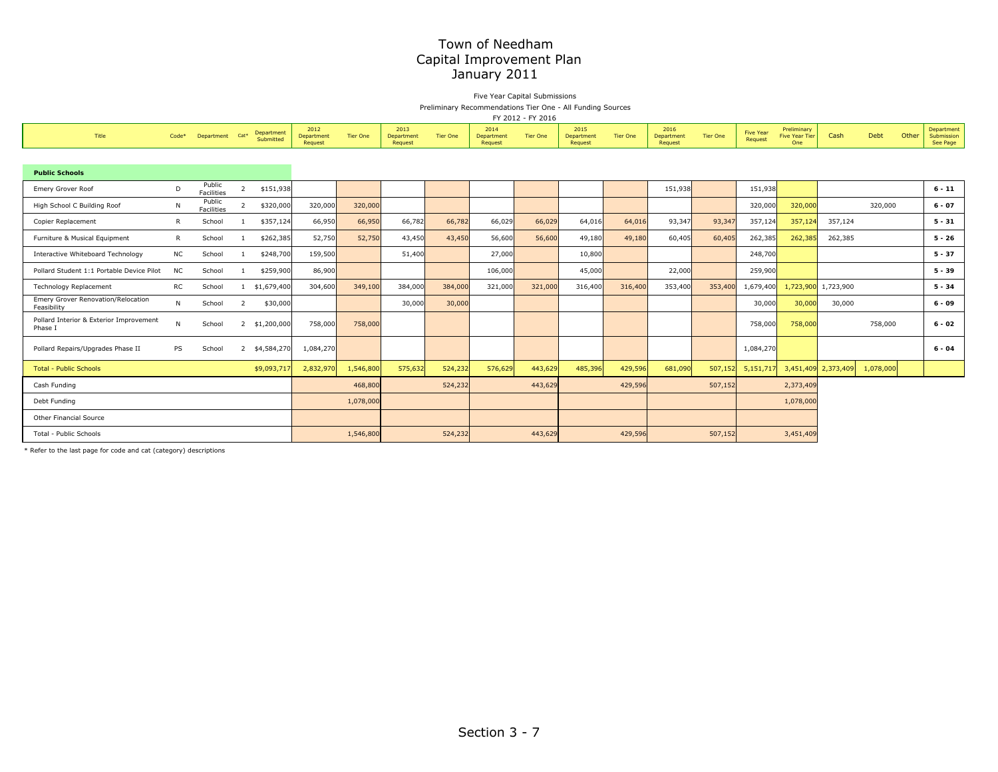Five Year Capital Submissions Preliminary Recommendations Tier One - All Funding Sources

| FY 2012 - FY 2016 |  |  |
|-------------------|--|--|
|                   |  |  |

| Title                                              | $Code*$      | Department           | Cat*           | Department<br>Submitted | 2012<br>Department<br>Request | <b>Tier One</b> | 2013<br>Department<br>Request | <b>Tier One</b> | 2014<br>Department<br>Request | <b>Tier One</b> | 2015<br>Department<br>Request | <b>Tier One</b> | 2016<br>Department<br>Request | Tier One | <b>Five Year</b><br>Request | Preliminary<br><b>Five Year Tier</b><br>One | Cash      | Debt      | Other | Department<br>Submission<br>See Page |
|----------------------------------------------------|--------------|----------------------|----------------|-------------------------|-------------------------------|-----------------|-------------------------------|-----------------|-------------------------------|-----------------|-------------------------------|-----------------|-------------------------------|----------|-----------------------------|---------------------------------------------|-----------|-----------|-------|--------------------------------------|
|                                                    |              |                      |                |                         |                               |                 |                               |                 |                               |                 |                               |                 |                               |          |                             |                                             |           |           |       |                                      |
| <b>Public Schools</b>                              |              |                      |                |                         |                               |                 |                               |                 |                               |                 |                               |                 |                               |          |                             |                                             |           |           |       |                                      |
| Emery Grover Roof                                  | D            | Public<br>Facilities | $\overline{2}$ | \$151,938               |                               |                 |                               |                 |                               |                 |                               |                 | 151,938                       |          | 151,938                     |                                             |           |           |       | $6 - 11$                             |
| High School C Building Roof                        | N            | Public<br>Facilities | $\overline{2}$ | \$320,000               | 320,000                       | 320,000         |                               |                 |                               |                 |                               |                 |                               |          | 320,000                     | 320,000                                     |           | 320,000   |       | $6 - 07$                             |
| Copier Replacement                                 | $\mathsf{R}$ | School               |                | \$357,124               | 66,950                        | 66,950          | 66,782                        | 66,782          | 66,029                        | 66,029          | 64,016                        | 64,016          | 93,347                        | 93,347   | 357,124                     | 357,124                                     | 357,124   |           |       | $5 - 31$                             |
| Furniture & Musical Equipment                      | R            | School               |                | \$262,385               | 52,750                        | 52,750          | 43,450                        | 43,450          | 56,600                        | 56,600          | 49,180                        | 49,180          | 60,405                        | 60,405   | 262,385                     | 262,385                                     | 262,385   |           |       | $5 - 26$                             |
| Interactive Whiteboard Technology                  | <b>NC</b>    | School               |                | \$248,700               | 159,500                       |                 | 51,400                        |                 | 27,000                        |                 | 10,800                        |                 |                               |          | 248,700                     |                                             |           |           |       | $5 - 37$                             |
| Pollard Student 1:1 Portable Device Pilot          | <b>NC</b>    | School               |                | \$259,900               | 86,900                        |                 |                               |                 | 106,000                       |                 | 45,000                        |                 | 22,000                        |          | 259,900                     |                                             |           |           |       | $5 - 39$                             |
| <b>Technology Replacement</b>                      | RC           | School               |                | \$1,679,400             | 304,600                       | 349,100         | 384,000                       | 384,000         | 321,000                       | 321,000         | 316,400                       | 316,400         | 353,400                       | 353,400  | 1,679,400                   | 1,723,900                                   | 1,723,900 |           |       | $5 - 34$                             |
| Emery Grover Renovation/Relocation<br>Feasibility  | N            | School               | $\overline{2}$ | \$30,000                |                               |                 | 30,000                        | 30,000          |                               |                 |                               |                 |                               |          | 30,000                      | 30,000                                      | 30,000    |           |       | $6 - 09$                             |
| Pollard Interior & Exterior Improvement<br>Phase I | N            | School               |                | 2 \$1,200,000           | 758,000                       | 758,000         |                               |                 |                               |                 |                               |                 |                               |          | 758,000                     | 758,000                                     |           | 758,000   |       | $6 - 02$                             |
| Pollard Repairs/Upgrades Phase II                  | PS           | School               | $\overline{2}$ | \$4,584,270             | 1,084,270                     |                 |                               |                 |                               |                 |                               |                 |                               |          | 1,084,270                   |                                             |           |           |       | $6 - 04$                             |
| <b>Total - Public Schools</b>                      |              |                      |                | \$9,093,717             | 2,832,970                     | 1,546,800       | 575,632                       | 524,232         | 576,629                       | 443,629         | 485,396                       | 429,596         | 681,090                       | 507,152  | 5,151,717                   | 3,451,409                                   | 2,373,409 | 1,078,000 |       |                                      |
| Cash Funding                                       |              |                      |                |                         |                               | 468,800         |                               | 524,232         |                               | 443,629         |                               | 429,596         |                               | 507,152  |                             | 2,373,409                                   |           |           |       |                                      |
| Debt Funding                                       |              |                      |                |                         |                               | 1,078,000       |                               |                 |                               |                 |                               |                 |                               |          |                             | 1,078,000                                   |           |           |       |                                      |
| Other Financial Source                             |              |                      |                |                         |                               |                 |                               |                 |                               |                 |                               |                 |                               |          |                             |                                             |           |           |       |                                      |
| Total - Public Schools                             |              |                      |                |                         |                               | 1,546,800       |                               | 524,232         |                               | 443,629         |                               | 429,596         |                               | 507,152  |                             | 3,451,409                                   |           |           |       |                                      |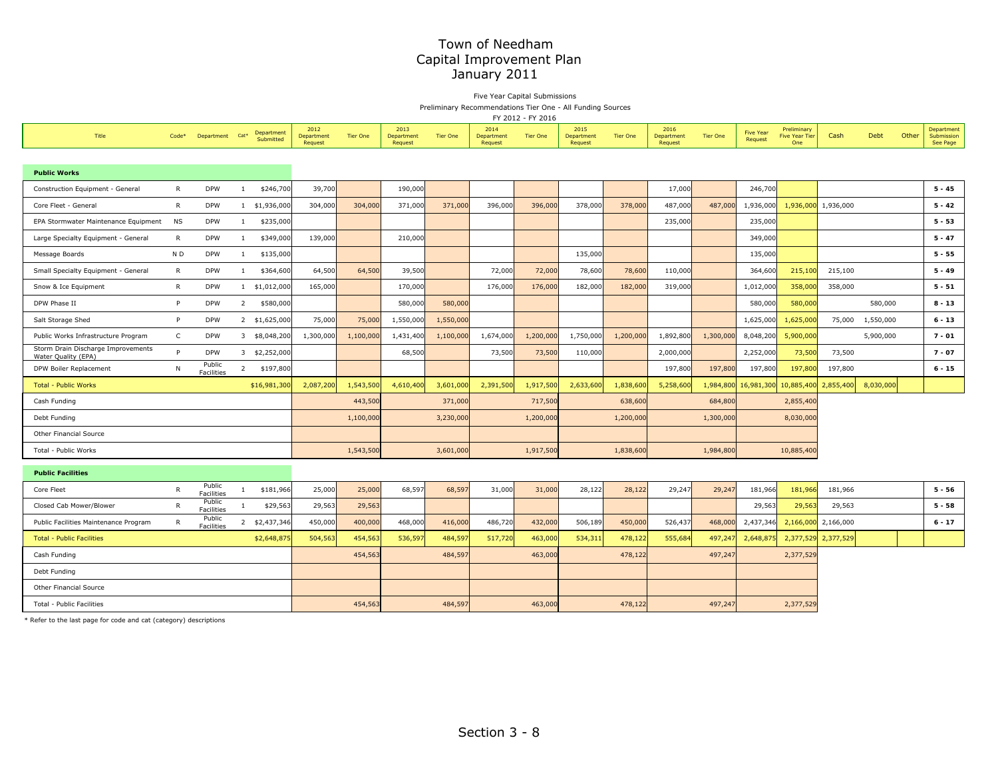Five Year Capital Submissions Preliminary Recommendations Tier One - All Funding Sources

FY 2012 - FY 2016

|                                                           |              |                             |                  |                         |                               |                 |                               |                 |                               | <b>FY 2012 - FY 2016</b> |                               |                 |                               |                 |                             |                                             |                     |           |       |                                      |
|-----------------------------------------------------------|--------------|-----------------------------|------------------|-------------------------|-------------------------------|-----------------|-------------------------------|-----------------|-------------------------------|--------------------------|-------------------------------|-----------------|-------------------------------|-----------------|-----------------------------|---------------------------------------------|---------------------|-----------|-------|--------------------------------------|
| Title                                                     | $Code*$      | Department                  | Cat <sup>*</sup> | Department<br>Submitted | 2012<br>Department<br>Request | <b>Tier One</b> | 2013<br>Department<br>Request | <b>Tier One</b> | 2014<br>Department<br>Request | <b>Tier One</b>          | 2015<br>Department<br>Request | <b>Tier One</b> | 2016<br>Department<br>Request | <b>Tier One</b> | <b>Five Year</b><br>Request | Preliminary<br><b>Five Year Tier</b><br>One | Cash                | Debt      | Other | Department<br>Submission<br>See Page |
|                                                           |              |                             |                  |                         |                               |                 |                               |                 |                               |                          |                               |                 |                               |                 |                             |                                             |                     |           |       |                                      |
| <b>Public Works</b>                                       |              |                             |                  |                         |                               |                 |                               |                 |                               |                          |                               |                 |                               |                 |                             |                                             |                     |           |       |                                      |
| Construction Equipment - General                          | $\mathsf{R}$ | <b>DPW</b>                  | <sup>1</sup>     | \$246,700               | 39,700                        |                 | 190,000                       |                 |                               |                          |                               |                 | 17,000                        |                 | 246,700                     |                                             |                     |           |       | $5 - 45$                             |
| Core Fleet - General                                      | $\mathsf{R}$ | <b>DPW</b>                  |                  | 1 \$1,936,000           | 304,000                       | 304,000         | 371,000                       | 371,000         | 396,000                       | 396,000                  | 378,000                       | 378,000         | 487,000                       | 487,000         | 1,936,000                   |                                             | 1,936,000 1,936,000 |           |       | $5 - 42$                             |
| EPA Stormwater Maintenance Equipment                      | NS           | <b>DPW</b>                  | <sup>1</sup>     | \$235,000               |                               |                 |                               |                 |                               |                          |                               |                 | 235,000                       |                 | 235,000                     |                                             |                     |           |       | $5 - 53$                             |
| Large Specialty Equipment - General                       | R            | <b>DPW</b>                  | 1                | \$349,000               | 139,000                       |                 | 210,000                       |                 |                               |                          |                               |                 |                               |                 | 349,000                     |                                             |                     |           |       | $5 - 47$                             |
| Message Boards                                            | N D          | <b>DPW</b>                  | <sup>1</sup>     | \$135,000               |                               |                 |                               |                 |                               |                          | 135,000                       |                 |                               |                 | 135,000                     |                                             |                     |           |       | $5 - 55$                             |
| Small Specialty Equipment - General                       | R            | <b>DPW</b>                  | 1                | \$364,600               | 64,500                        | 64,500          | 39,500                        |                 | 72,000                        | 72,000                   | 78,600                        | 78,600          | 110,000                       |                 | 364,600                     | 215,100                                     | 215,100             |           |       | $5 - 49$                             |
| Snow & Ice Equipment                                      | $\mathsf{R}$ | <b>DPW</b>                  | $\mathbf{1}$     | \$1,012,000             | 165,000                       |                 | 170,000                       |                 | 176,000                       | 176,000                  | 182,000                       | 182,000         | 319,000                       |                 | 1,012,000                   | 358,000                                     | 358,000             |           |       | $5 - 51$                             |
| DPW Phase II                                              | P            | <b>DPW</b>                  | $\overline{2}$   | \$580,000               |                               |                 | 580,000                       | 580,000         |                               |                          |                               |                 |                               |                 | 580,000                     | 580,000                                     |                     | 580,000   |       | $8 - 13$                             |
| Salt Storage Shed                                         | P            | <b>DPW</b>                  |                  | 2 \$1,625,000           | 75,000                        | 75,000          | 1,550,000                     | 1,550,000       |                               |                          |                               |                 |                               |                 | 1,625,000                   | 1,625,00                                    | 75,000              | 1,550,000 |       | $6 - 13$                             |
| Public Works Infrastructure Program                       | $\mathsf{C}$ | <b>DPW</b>                  |                  | 3 \$8,048,200           | 1,300,000                     | 1,100,000       | 1,431,400                     | 1,100,000       | 1,674,000                     | 1,200,000                | 1,750,000                     | 1,200,000       | 1,892,800                     | 1,300,000       | 8,048,200                   | 5,900,000                                   |                     | 5,900,000 |       | $7 - 01$                             |
| Storm Drain Discharge Improvements<br>Water Quality (EPA) | P            | <b>DPW</b>                  |                  | 3 \$2,252,000           |                               |                 | 68,500                        |                 | 73,500                        | 73,500                   | 110,000                       |                 | 2,000,000                     |                 | 2,252,000                   | 73,500                                      | 73,500              |           |       | $7 - 07$                             |
| DPW Boiler Replacement                                    | N            | Public<br><b>Facilities</b> | $\overline{2}$   | \$197,800               |                               |                 |                               |                 |                               |                          |                               |                 | 197,800                       | 197,800         | 197,800                     | 197,800                                     | 197,800             |           |       | $6 - 15$                             |
| Total - Public Works                                      |              |                             |                  | \$16,981,300            | 2,087,200                     | 1,543,500       | 4,610,400                     | 3,601,000       | 2,391,500                     | 1,917,500                | 2,633,600                     | 1,838,600       | 5,258,600                     |                 | 1,984,800 16,981,300        | 10,885,400                                  | 2,855,400           | 8,030,000 |       |                                      |
| Cash Funding                                              |              |                             |                  |                         |                               | 443,500         |                               | 371,000         |                               | 717,500                  |                               | 638,600         |                               | 684,800         |                             | 2,855,400                                   |                     |           |       |                                      |
| Debt Funding                                              |              |                             |                  |                         |                               | 1,100,000       |                               | 3,230,000       |                               | 1,200,000                |                               | 1,200,000       |                               | 1,300,000       |                             | 8,030,000                                   |                     |           |       |                                      |
| Other Financial Source                                    |              |                             |                  |                         |                               |                 |                               |                 |                               |                          |                               |                 |                               |                 |                             |                                             |                     |           |       |                                      |
| Total - Public Works                                      |              |                             |                  |                         |                               | 1,543,500       |                               | 3,601,000       |                               | 1,917,500                |                               | 1,838,600       |                               | 1,984,800       |                             | 10,885,400                                  |                     |           |       |                                      |
| <b>Public Facilities</b>                                  |              |                             |                  |                         |                               |                 |                               |                 |                               |                          |                               |                 |                               |                 |                             |                                             |                     |           |       |                                      |
| Core Fleet                                                | $\mathsf{R}$ | Public<br><b>Facilities</b> | 1                | \$181,966               | 25,000                        | 25,000          | 68,597                        | 68,597          | 31,000                        | 31,000                   | 28,122                        | 28,122          | 29,247                        | 29,247          | 181,966                     | 181,966                                     | 181,966             |           |       | $5 - 56$                             |
| Closed Cab Mower/Blower                                   | $\mathsf{R}$ | Public<br>Facilities        | <sup>1</sup>     | \$29,563                | 29,563                        | 29,563          |                               |                 |                               |                          |                               |                 |                               |                 | 29,563                      | 29,563                                      | 29,563              |           |       | $5 - 58$                             |
| Public Facilities Maintenance Program                     | $\mathsf{R}$ | Public<br>Facilities        |                  | 2 \$2,437,346           | 450,000                       | 400,000         | 468,000                       | 416,000         | 486,720                       | 432,000                  | 506,189                       | 450,000         | 526,437                       | 468,000         | 2,437,346                   | 2,166,000                                   | 2,166,000           |           |       | $6 - 17$                             |
| <b>Total - Public Facilities</b>                          |              |                             |                  | \$2,648,875             | 504,563                       | 454,563         | 536,597                       | 484,597         | 517,720                       | 463,000                  | 534,311                       | 478,122         | 555,684                       | 497,24          | 2,648,875                   |                                             | 2,377,529 2,377,529 |           |       |                                      |
| Cash Funding                                              |              |                             |                  |                         |                               | 454,563         |                               | 484,597         |                               | 463,000                  |                               | 478,122         |                               | 497,247         |                             | 2,377,529                                   |                     |           |       |                                      |
| Debt Funding                                              |              |                             |                  |                         |                               |                 |                               |                 |                               |                          |                               |                 |                               |                 |                             |                                             |                     |           |       |                                      |
| Other Financial Source                                    |              |                             |                  |                         |                               |                 |                               |                 |                               |                          |                               |                 |                               |                 |                             |                                             |                     |           |       |                                      |
| Total - Public Facilities                                 |              |                             |                  |                         |                               | 454,563         |                               | 484,597         |                               | 463,000                  |                               | 478,122         |                               | 497,247         |                             | 2,377,529                                   |                     |           |       |                                      |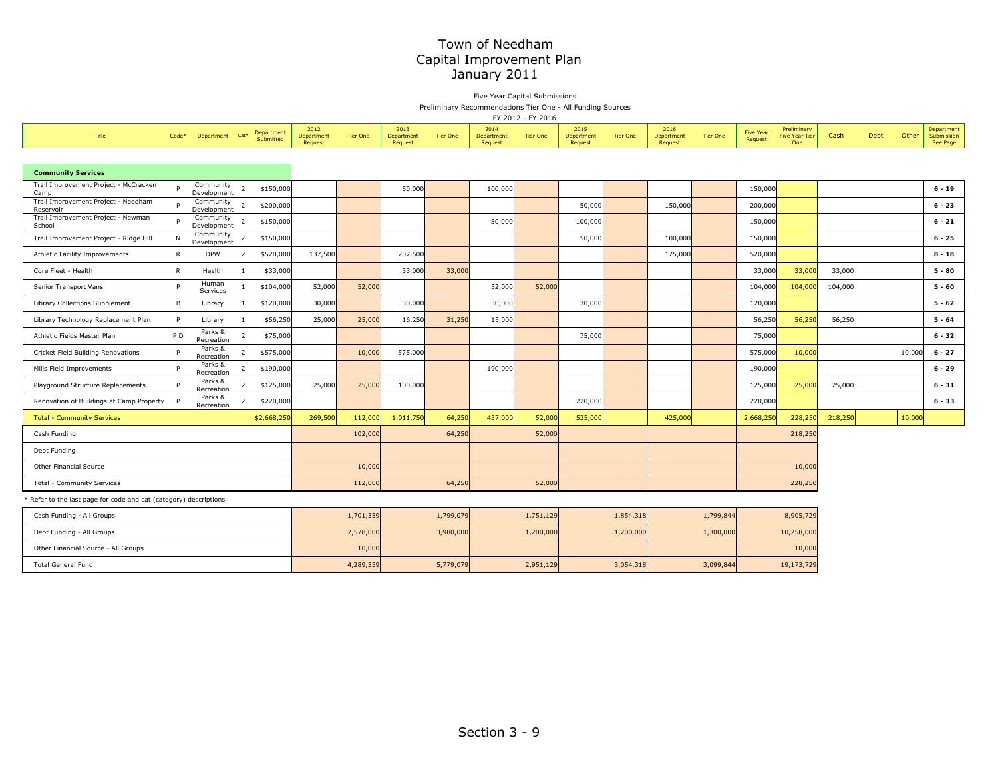Five Year Capital Submissions Preliminary Recommendations Tier One - All Funding Sources

FY 2012 - FY 2016

| Title                                                           | Code*        | Department Cat*          |                | Department  | 2012<br>Department | <b>Tier One</b> | 2013<br>Department | <b>Tier One</b> | 2014<br>Department | <b>Tier One</b> | 2015<br>Department | <b>Tier One</b> | 2016<br>Department | <b>Tier One</b> | <b>Five Year</b> | Preliminary<br><b>Five Year Tier</b> | Cash    | <b>Debt</b> | Other  | Department<br>Submission |
|-----------------------------------------------------------------|--------------|--------------------------|----------------|-------------|--------------------|-----------------|--------------------|-----------------|--------------------|-----------------|--------------------|-----------------|--------------------|-----------------|------------------|--------------------------------------|---------|-------------|--------|--------------------------|
|                                                                 |              |                          |                | Submitted   | Request            |                 | Request            |                 | Request            |                 | Request            |                 | Request            |                 | Request          | One                                  |         |             |        | See Page                 |
|                                                                 |              |                          |                |             |                    |                 |                    |                 |                    |                 |                    |                 |                    |                 |                  |                                      |         |             |        |                          |
| <b>Community Services</b>                                       |              |                          |                |             |                    |                 |                    |                 |                    |                 |                    |                 |                    |                 |                  |                                      |         |             |        |                          |
| Trail Improvement Project - McCracken<br>Camp                   | P            | Community<br>Development | 2              | \$150,000   |                    |                 | 50,000             |                 | 100,000            |                 |                    |                 |                    |                 | 150,000          |                                      |         |             |        | $6 - 19$                 |
| Trail Improvement Project - Needham<br>Reservoir                | P            | Community<br>Development | $\overline{2}$ | \$200,000   |                    |                 |                    |                 |                    |                 | 50,000             |                 | 150,000            |                 | 200,000          |                                      |         |             |        | $6 - 23$                 |
| Trail Improvement Project - Newman<br>School                    | P            | Community<br>Development | $\overline{2}$ | \$150,000   |                    |                 |                    |                 | 50,000             |                 | 100,000            |                 |                    |                 | 150,000          |                                      |         |             |        | $6 - 21$                 |
| Trail Improvement Project - Ridge Hill                          | N            | Community<br>Development | $\overline{2}$ | \$150,000   |                    |                 |                    |                 |                    |                 | 50,000             |                 | 100,000            |                 | 150,000          |                                      |         |             |        | $6 - 25$                 |
| Athletic Facility Improvements                                  | R            | <b>DPW</b>               | 2              | \$520,000   | 137,500            |                 | 207,500            |                 |                    |                 |                    |                 | 175,000            |                 | 520,000          |                                      |         |             |        | $8 - 18$                 |
| Core Fleet - Health                                             | $\mathsf{R}$ | Health                   | $\overline{1}$ | \$33,000    |                    |                 | 33,000             | 33,000          |                    |                 |                    |                 |                    |                 | 33,000           | 33,000                               | 33,000  |             |        | $5 - 80$                 |
| Senior Transport Vans                                           | P            | Human<br>Services        | $\mathbf{1}$   | \$104,000   | 52,000             | 52,000          |                    |                 | 52,000             | 52,000          |                    |                 |                    |                 | 104,000          | 104,000                              | 104,000 |             |        | $5 - 60$                 |
| Library Collections Supplement                                  | B            | Library                  | $\mathbf{1}$   | \$120,000   | 30,000             |                 | 30,000             |                 | 30,000             |                 | 30,000             |                 |                    |                 | 120,000          |                                      |         |             |        | $5 - 62$                 |
| Library Technology Replacement Plan                             | P            | Library                  | $\overline{1}$ | \$56,250    | 25,000             | 25,000          | 16,250             | 31,250          | 15,000             |                 |                    |                 |                    |                 | 56,250           | 56,250                               | 56,250  |             |        | $5 - 64$                 |
| Athletic Fields Master Plan                                     | P D          | Parks &<br>Recreation    | $\overline{2}$ | \$75,000    |                    |                 |                    |                 |                    |                 | 75,000             |                 |                    |                 | 75,000           |                                      |         |             |        | $6 - 32$                 |
| Cricket Field Building Renovations                              | P            | Parks &<br>Recreation    | $\overline{2}$ | \$575,000   |                    | 10,000          | 575,000            |                 |                    |                 |                    |                 |                    |                 | 575,000          | 10,000                               |         |             | 10,000 | $6 - 27$                 |
| Mills Field Improvements                                        | P            | Parks &<br>Recreation    | $\overline{2}$ | \$190,000   |                    |                 |                    |                 | 190,000            |                 |                    |                 |                    |                 | 190,000          |                                      |         |             |        | $6 - 29$                 |
| Playground Structure Replacements                               | P            | Parks &<br>Recreation    | $\overline{2}$ | \$125,000   | 25,000             | 25,000          | 100,000            |                 |                    |                 |                    |                 |                    |                 | 125,000          | 25,000                               | 25,000  |             |        | $6 - 31$                 |
| Renovation of Buildings at Camp Property                        |              | Parks &<br>Recreation    | $\overline{2}$ | \$220,000   |                    |                 |                    |                 |                    |                 | 220,000            |                 |                    |                 | 220,000          |                                      |         |             |        | $6 - 33$                 |
| <b>Total - Community Services</b>                               |              |                          |                | \$2,668,250 | 269,500            | 112,000         | 1,011,750          | 64,250          | 437,000            | 52,000          | 525,000            |                 | 425,000            |                 | 2,668,250        | 228,250                              | 218,250 |             | 10,000 |                          |
| Cash Funding                                                    |              |                          |                |             |                    | 102,000         |                    | 64,250          |                    | 52,000          |                    |                 |                    |                 |                  | 218,250                              |         |             |        |                          |
| Debt Funding                                                    |              |                          |                |             |                    |                 |                    |                 |                    |                 |                    |                 |                    |                 |                  |                                      |         |             |        |                          |
| Other Financial Source                                          |              |                          |                |             |                    | 10,000          |                    |                 |                    |                 |                    |                 |                    |                 |                  | 10,000                               |         |             |        |                          |
| Total - Community Services                                      |              |                          |                |             |                    | 112,000         |                    | 64,250          |                    | 52,000          |                    |                 |                    |                 |                  | 228,250                              |         |             |        |                          |
| Refer to the last page for code and cat (category) descriptions |              |                          |                |             |                    |                 |                    |                 |                    |                 |                    |                 |                    |                 |                  |                                      |         |             |        |                          |
| Cash Funding - All Groups                                       |              |                          |                |             |                    | 1,701,359       |                    | 1,799,079       |                    | 1,751,129       |                    | 1,854,318       |                    | 1,799,844       |                  | 8,905,729                            |         |             |        |                          |
| Debt Funding - All Groups                                       |              |                          |                |             |                    | 2,578,000       |                    | 3,980,000       |                    | 1,200,000       |                    | 1,200,000       |                    | 1,300,000       |                  | 10,258,000                           |         |             |        |                          |
| Other Financial Source - All Groups                             |              |                          |                |             |                    | 10,000          |                    |                 |                    |                 |                    |                 |                    |                 |                  | 10,000                               |         |             |        |                          |
| <b>Total General Fund</b>                                       |              |                          |                |             |                    | 4,289,359       |                    | 5,779,079       |                    | 2,951,129       |                    | 3,054,318       |                    | 3,099,844       |                  | 19,173,729                           |         |             |        |                          |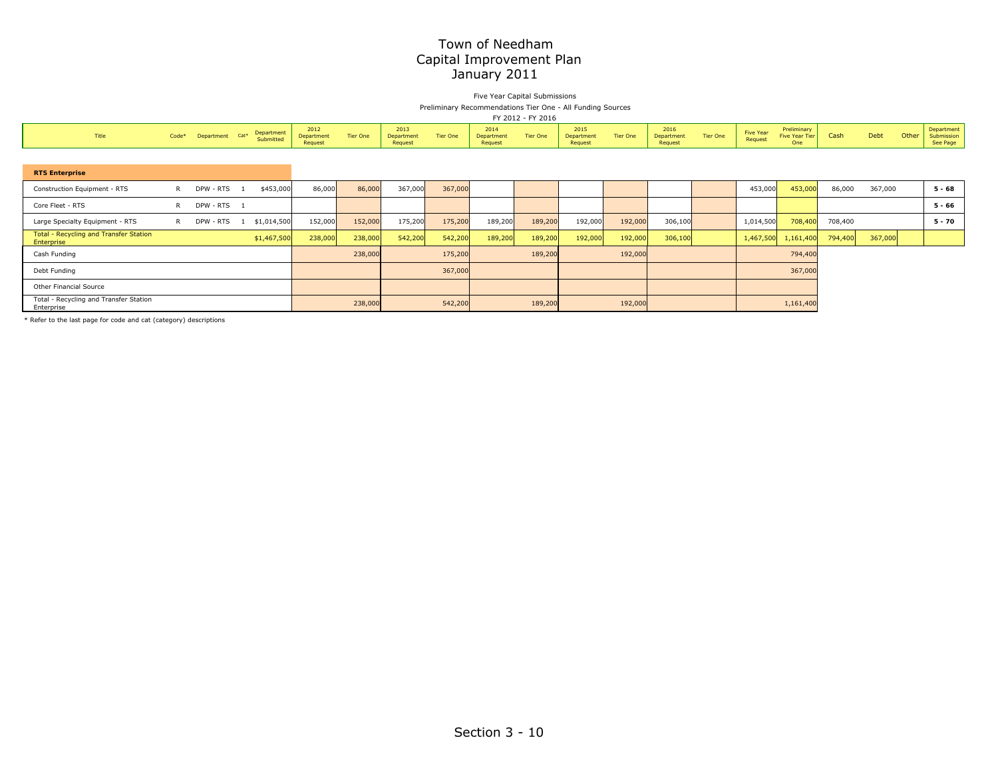Five Year Capital Submissions Preliminary Recommendations Tier One - All Funding Sources

|                                                      | FY 2012 - FY 2016 |                 |     |                         |                               |          |                               |                 |                               |          |                                      |                 |                               |          |                             |                                      |         |         |       |                                      |
|------------------------------------------------------|-------------------|-----------------|-----|-------------------------|-------------------------------|----------|-------------------------------|-----------------|-------------------------------|----------|--------------------------------------|-----------------|-------------------------------|----------|-----------------------------|--------------------------------------|---------|---------|-------|--------------------------------------|
| Title                                                | Code*             | Department Cat* |     | Department<br>Submitted | 2012<br>Department<br>Request | Tier One | 2013<br>Department<br>Request | <b>Tier One</b> | 2014<br>Department<br>Request | Tier One | 2015<br><b>Department</b><br>Request | <b>Tier One</b> | 2016<br>Department<br>Request | Tier One | <b>Five Year</b><br>Request | Preliminary<br>Five Year Tier<br>One | Cash    | Debt    | Other | Department<br>Submission<br>See Page |
|                                                      |                   |                 |     |                         |                               |          |                               |                 |                               |          |                                      |                 |                               |          |                             |                                      |         |         |       |                                      |
| <b>RTS Enterprise</b>                                |                   |                 |     |                         |                               |          |                               |                 |                               |          |                                      |                 |                               |          |                             |                                      |         |         |       |                                      |
| Construction Equipment - RTS                         | $\mathsf{R}$      | DPW - RTS       |     | \$453,000               | 86,000                        | 86,000   | 367,000                       | 367,000         |                               |          |                                      |                 |                               |          | 453,000                     | 453,000                              | 86,000  | 367,000 |       | $5 - 68$                             |
| Core Fleet - RTS                                     | R                 | DPW - RTS 1     |     |                         |                               |          |                               |                 |                               |          |                                      |                 |                               |          |                             |                                      |         |         |       | $5 - 66$                             |
| Large Specialty Equipment - RTS                      | R.                | DPW - RTS       | - 1 | \$1,014,500             | 152,000                       | 152,000  | 175,200                       | 175,200         | 189,200                       | 189,200  | 192,000                              | 192,000         | 306,100                       |          | 1,014,500                   | 708,400                              | 708,400 |         |       | $5 - 70$                             |
| Total - Recycling and Transfer Station<br>Enterprise |                   |                 |     | \$1,467,500             | 238,000                       | 238,000  | 542,200                       | 542,200         | 189,200                       | 189,200  | 192,000                              | 192,000         | 306,100                       |          | 1,467,500                   | 1,161,400                            | 794,400 | 367,000 |       |                                      |
| Cash Funding                                         |                   |                 |     |                         |                               | 238,000  |                               | 175,200         |                               | 189,200  |                                      | 192,000         |                               |          |                             | 794,400                              |         |         |       |                                      |
| Debt Funding                                         |                   |                 |     |                         |                               |          |                               | 367,000         |                               |          |                                      |                 |                               |          |                             | 367,000                              |         |         |       |                                      |
| Other Financial Source                               |                   |                 |     |                         |                               |          |                               |                 |                               |          |                                      |                 |                               |          |                             |                                      |         |         |       |                                      |
| Total - Recycling and Transfer Station<br>Enterprise |                   |                 |     |                         |                               | 238,000  |                               | 542,200         |                               | 189,200  |                                      | 192,000         |                               |          |                             | 1,161,400                            |         |         |       |                                      |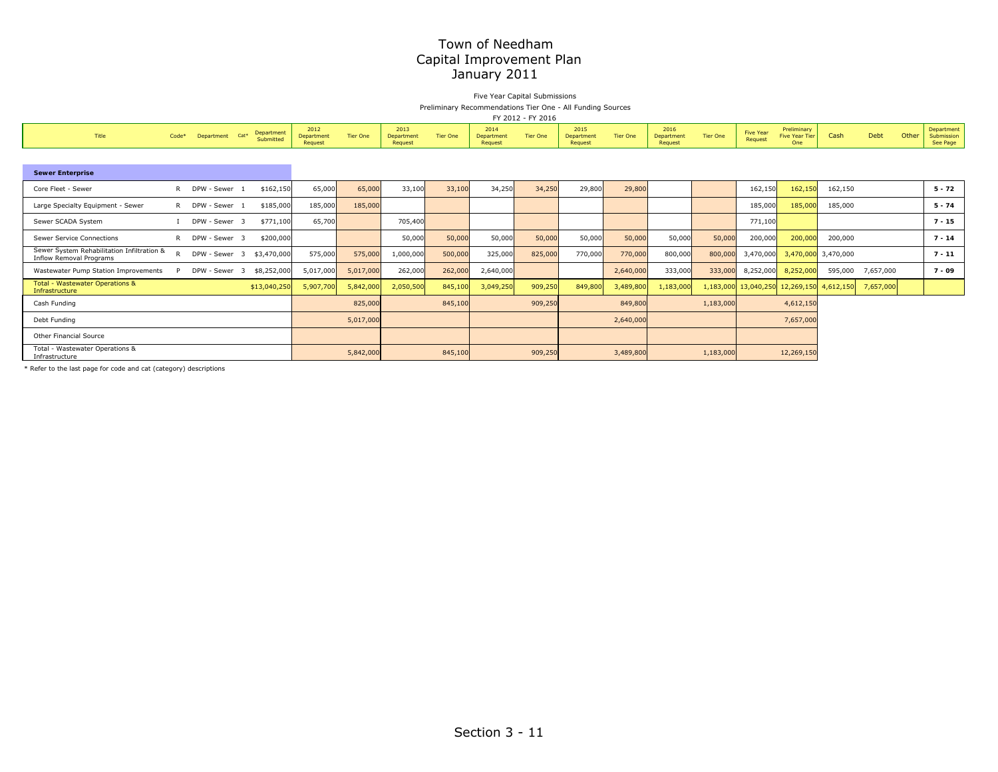#### Five Year Capital Submissions Preliminary Recommendations Tier One - All Funding Sources

FY 2012 - FY 2016

|                                                                              |              |             |               |                  |                         |                               |           |                               |                 |                               | LI SATS - LI SATO |                               |                 |                               |                 |                             |                                             |                     |           |       |                                      |
|------------------------------------------------------------------------------|--------------|-------------|---------------|------------------|-------------------------|-------------------------------|-----------|-------------------------------|-----------------|-------------------------------|-------------------|-------------------------------|-----------------|-------------------------------|-----------------|-----------------------------|---------------------------------------------|---------------------|-----------|-------|--------------------------------------|
| Title                                                                        | $Code*$      |             | Department    | Cat <sup>*</sup> | Department<br>Submitted | 2012<br>Department<br>Request | Tier One  | 2013<br>Department<br>Request | <b>Tier One</b> | 2014<br>Department<br>Request | <b>Tier One</b>   | 2015<br>Department<br>Request | <b>Tier One</b> | 2016<br>Department<br>Request | <b>Tier One</b> | <b>Five Year</b><br>Request | Preliminary<br><b>Five Year Tier</b><br>One | Cash                | Debt      | Other | Department<br>Submission<br>See Page |
|                                                                              |              |             |               |                  |                         |                               |           |                               |                 |                               |                   |                               |                 |                               |                 |                             |                                             |                     |           |       |                                      |
| <b>Sewer Enterprise</b>                                                      |              |             |               |                  |                         |                               |           |                               |                 |                               |                   |                               |                 |                               |                 |                             |                                             |                     |           |       |                                      |
| Core Fleet - Sewer                                                           | R            | DPW - Sewer |               |                  | \$162,150               | 65,000                        | 65,000    | 33,100                        | 33,100          | 34,250                        | 34,250            | 29,800                        | 29,800          |                               |                 | 162,150                     | 162,150                                     | 162,150             |           |       | $5 - 72$                             |
| Large Specialty Equipment - Sewer                                            | R.           |             | DPW - Sewer   |                  | \$185,000               | 185,000                       | 185,000   |                               |                 |                               |                   |                               |                 |                               |                 | 185,000                     | 185,000                                     | 185,000             |           |       | $5 - 74$                             |
| Sewer SCADA System                                                           |              |             | DPW - Sewer 3 |                  | \$771,100               | 65,700                        |           | 705,400                       |                 |                               |                   |                               |                 |                               |                 | 771,100                     |                                             |                     |           |       | $7 - 15$                             |
| Sewer Service Connections                                                    | R.           | DPW - Sewer |               |                  | \$200,000               |                               |           | 50,000                        | 50,000          | 50,000                        | 50,000            | 50,000                        | 50,000          | 50,000                        | 50,000          | 200,000                     | 200,000                                     | 200,000             |           |       | $7 - 14$                             |
| Sewer System Rehabilitation Infiltration &<br><b>Inflow Removal Programs</b> | $\mathsf{R}$ |             | DPW - Sewer 3 |                  | \$3,470,000             | 575,000                       | 575,000   | 1,000,000                     | 500,000         | 325,000                       | 825,000           | 770,000                       | 770,000         | 800,000                       | 800,000         | 3,470,000                   |                                             | 3,470,000 3,470,000 |           |       | $7 - 11$                             |
| Wastewater Pump Station Improvements                                         | P            |             | DPW - Sewer   | - 3              | \$8,252,000             | 5,017,000                     | 5,017,000 | 262,000                       | 262,000         | 2,640,000                     |                   |                               | 2,640,000       | 333,000                       | 333,000         | 8,252,000                   | 8,252,000                                   | 595,000             | 7,657,000 |       | $7 - 09$                             |
| <b>Total - Wastewater Operations &amp;</b><br>Infrastructure                 |              |             |               |                  | \$13,040,250            | 5,907,700                     | 5,842,000 | 2,050,500                     | 845,100         | 3,049,250                     | 909,250           | 849,800                       | 3,489,800       | 1,183,000                     |                 | 1,183,000 13,040,250        | 12,269,150                                  | 4,612,150           | 7,657,000 |       |                                      |
| Cash Funding                                                                 |              |             |               |                  |                         |                               | 825,000   |                               | 845,100         |                               | 909,250           |                               | 849,800         |                               | 1,183,000       |                             | 4,612,150                                   |                     |           |       |                                      |
| Debt Funding                                                                 |              |             |               |                  |                         |                               | 5,017,000 |                               |                 |                               |                   |                               | 2,640,000       |                               |                 |                             | 7,657,000                                   |                     |           |       |                                      |
| Other Financial Source                                                       |              |             |               |                  |                         |                               |           |                               |                 |                               |                   |                               |                 |                               |                 |                             |                                             |                     |           |       |                                      |
| Total - Wastewater Operations &<br>Infrastructure                            |              |             |               |                  |                         |                               | 5,842,000 |                               | 845,100         |                               | 909,250           |                               | 3,489,800       |                               | 1,183,000       |                             | 12,269,150                                  |                     |           |       |                                      |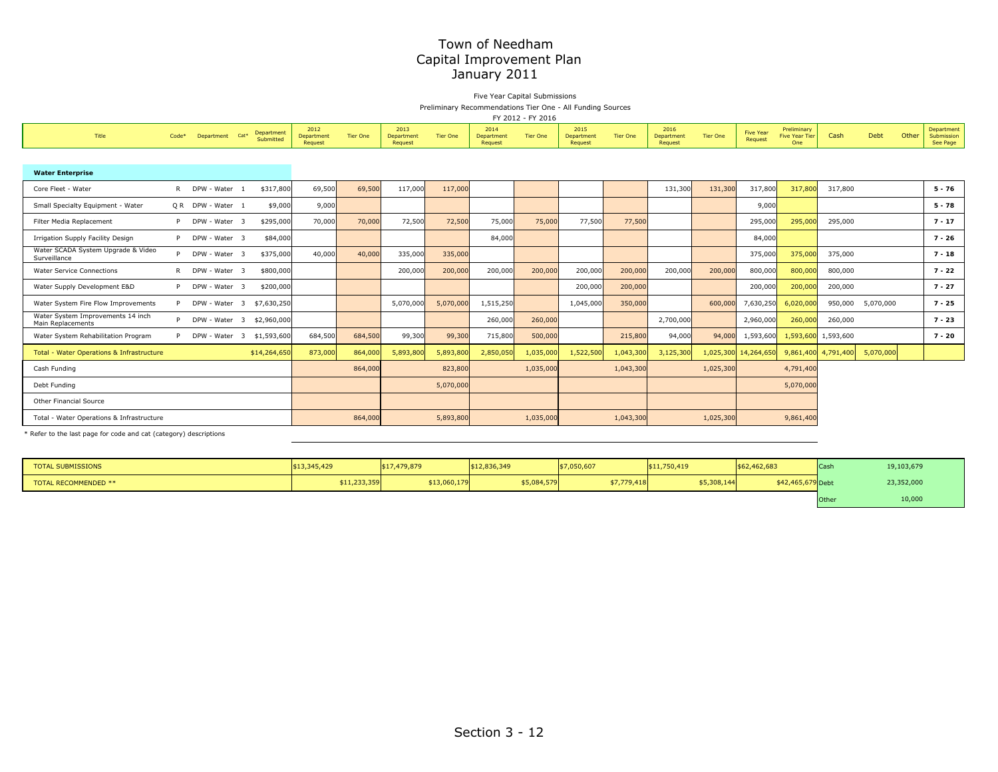Five Year Capital Submissions Preliminary Recommendations Tier One - All Funding Sources

| FY 2012 - FY 201 |  |
|------------------|--|

|                                                        | FY 2012 - FY 2016 |                   |                         |                         |                               |          |                               |           |                               |                 |                               |                 |                               |                 |                             |                                             |                     |                   |       |                                      |
|--------------------------------------------------------|-------------------|-------------------|-------------------------|-------------------------|-------------------------------|----------|-------------------------------|-----------|-------------------------------|-----------------|-------------------------------|-----------------|-------------------------------|-----------------|-----------------------------|---------------------------------------------|---------------------|-------------------|-------|--------------------------------------|
| Title                                                  | Code*             | Department        | Cat <sup>*</sup>        | Department<br>Submitted | 2012<br>Department<br>Request | Tier One | 2013<br>Department<br>Request | Tier One  | 2014<br>Department<br>Request | <b>Tier One</b> | 2015<br>Department<br>Request | <b>Tier One</b> | 2016<br>Department<br>Request | <b>Tier One</b> | <b>Five Year</b><br>Request | Preliminary<br><b>Five Year Tier</b><br>One | Cash                | Debt              | Other | Department<br>Submission<br>See Page |
|                                                        |                   |                   |                         |                         |                               |          |                               |           |                               |                 |                               |                 |                               |                 |                             |                                             |                     |                   |       |                                      |
| <b>Water Enterprise</b>                                |                   |                   |                         |                         |                               |          |                               |           |                               |                 |                               |                 |                               |                 |                             |                                             |                     |                   |       |                                      |
| Core Fleet - Water                                     | R.                | DPW - Water       |                         | \$317,800               | 69,500                        | 69,500   | 117,000                       | 117,000   |                               |                 |                               |                 | 131,300                       | 131,300         | 317,800                     | 317,800                                     | 317,800             |                   |       | $5 - 76$                             |
| Small Specialty Equipment - Water                      |                   | Q R DPW - Water 1 |                         | \$9,000                 | 9,000                         |          |                               |           |                               |                 |                               |                 |                               |                 | 9,000                       |                                             |                     |                   |       | $5 - 78$                             |
| Filter Media Replacement                               | P.                | DPW - Water       | -3                      | \$295,000               | 70,000                        | 70,000   | 72,500                        | 72,500    | 75,000                        | 75,000          | 77,500                        | 77,500          |                               |                 | 295,000                     | 295,000                                     | 295,000             |                   |       | $7 - 17$                             |
| Irrigation Supply Facility Design                      | P.                | DPW - Water 3     |                         | \$84,000                |                               |          |                               |           | 84,000                        |                 |                               |                 |                               |                 | 84,000                      |                                             |                     |                   |       | $7 - 26$                             |
| Water SCADA System Upgrade & Video<br>Surveillance     | P.                | DPW - Water 3     |                         | \$375,000               | 40,000                        | 40,000   | 335,000                       | 335,000   |                               |                 |                               |                 |                               |                 | 375,000                     | 375,000                                     | 375,000             |                   |       | $7 - 18$                             |
| <b>Water Service Connections</b>                       | R                 | DPW - Water 3     |                         | \$800,000               |                               |          | 200,000                       | 200,000   | 200,000                       | 200,000         | 200,000                       | 200,000         | 200,000                       | 200,000         | 800,000                     | 800,000                                     | 800,000             |                   |       | $7 - 22$                             |
| Water Supply Development E&D                           | <b>P</b>          | DPW - Water       | -3                      | \$200,000               |                               |          |                               |           |                               |                 | 200,000                       | 200,000         |                               |                 | 200,000                     | 200,000                                     | 200,000             |                   |       | $7 - 27$                             |
| Water System Fire Flow Improvements                    | P.                | DPW - Water 3     |                         | \$7,630,250             |                               |          | 5,070,000                     | 5,070,000 | 1,515,250                     |                 | 1,045,000                     | 350,000         |                               | 600,000         | 7,630,250                   | 6,020,000                                   |                     | 950,000 5,070,000 |       | $7 - 25$                             |
| Water System Improvements 14 inch<br>Main Replacements | <b>P</b>          | DPW - Water 3     |                         | \$2,960,000             |                               |          |                               |           | 260,000                       | 260,000         |                               |                 | 2,700,000                     |                 | 2,960,000                   | 260,000                                     | 260,000             |                   |       | $7 - 23$                             |
| Water System Rehabilitation Program                    | P.                | DPW - Water       | $\overline{\mathbf{3}}$ | \$1,593,600             | 684,500                       | 684,500  | 99,300                        | 99,300    | 715,800                       | 500,000         |                               | 215,800         | 94,000                        | 94,000          | 1,593,600                   | 1,593,600                                   | 1,593,600           |                   |       | $7 - 20$                             |
| <b>Total - Water Operations &amp; Infrastructure</b>   |                   |                   |                         | \$14,264,650            | 873,000                       | 864,000  | 5,893,800                     | 5,893,800 | 2,850,050                     | 1,035,000       | 1,522,500                     | 1,043,300       | 3,125,300                     |                 | 1,025,300 14,264,650        |                                             | 9,861,400 4,791,400 | 5,070,000         |       |                                      |
| Cash Funding                                           |                   |                   |                         |                         |                               | 864,000  |                               | 823,800   |                               | 1,035,000       |                               | 1,043,300       |                               | 1,025,300       |                             | 4,791,400                                   |                     |                   |       |                                      |
| Debt Funding                                           |                   |                   |                         |                         |                               |          |                               | 5,070,000 |                               |                 |                               |                 |                               |                 |                             | 5,070,000                                   |                     |                   |       |                                      |
| <b>Other Financial Source</b>                          |                   |                   |                         |                         |                               |          |                               |           |                               |                 |                               |                 |                               |                 |                             |                                             |                     |                   |       |                                      |
| Total - Water Operations & Infrastructure              |                   |                   |                         |                         |                               | 864,000  |                               | 5,893,800 |                               | 1,035,000       |                               | 1,043,300       |                               | 1,025,300       |                             | 9,861,400                                   |                     |                   |       |                                      |

| <b>TOTAL SUBMISSIONS</b>    | 13,345,429   | \$17,479,879 | \$12,836,349 | \$7,050,607 | \$11,750,419 | \$62,462,683      | $\sim$<br><b>Cast</b> | 19,103,679 |
|-----------------------------|--------------|--------------|--------------|-------------|--------------|-------------------|-----------------------|------------|
| <b>TOTAL RECOMMENDED **</b> | \$11,233,359 | \$13,060,179 | 5,084,579    | \$7,779,418 | \$5,308,144  | \$42,465,679 Debt |                       | 23,352,000 |
|                             |              |              |              |             |              |                   | Othe                  | 10,000     |